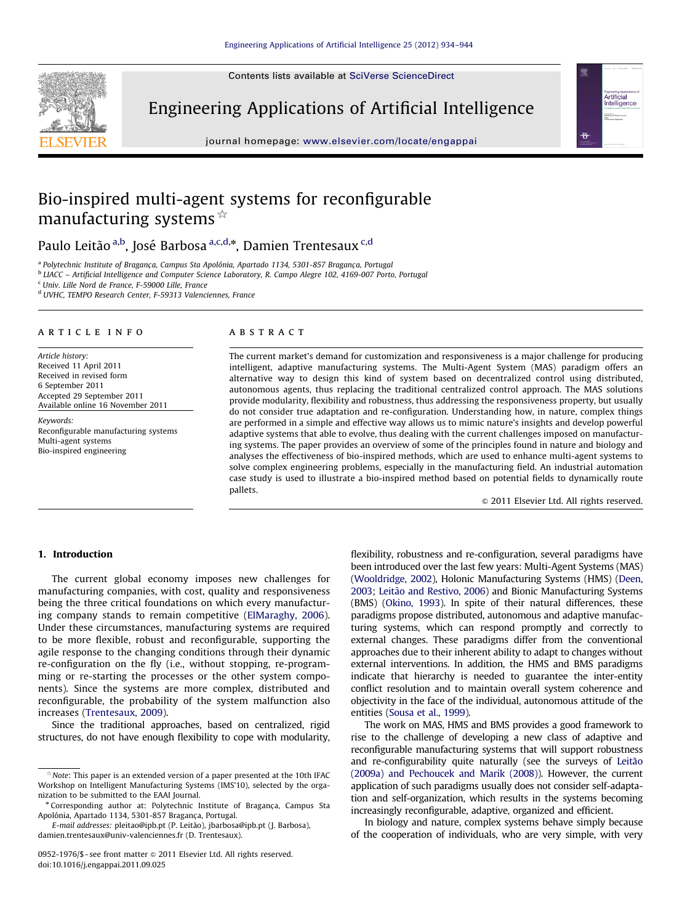Contents lists available at [SciVerse ScienceDirect](www.elsevier.com/locate/engappai)



Engineering Applications of Artificial Intelligence

journal homepage: <www.elsevier.com/locate/engappai>



# Bio-inspired multi-agent systems for reconfigurable manufacturing systems  $\overline{\mathscr{C}}$

# Paulo Leitão <sup>a,b</sup>, José Barbosa <sup>a,c,d,</sup>\*, Damien Trentesaux <sup>c,d</sup>

<sup>a</sup> Polytechnic Institute of Braganca, Campus Sta Apolónia, Apartado 1134, 5301-857 Braganca, Portugal

<sup>b</sup> LIACC – Artificial Intelligence and Computer Science Laboratory, R. Campo Alegre 102, 4169-007 Porto, Portugal

<sup>c</sup> Univ. Lille Nord de France, F-59000 Lille, France

<sup>d</sup> UVHC, TEMPO Research Center, F-59313 Valenciennes, France

#### article info

Article history: Received 11 April 2011 Received in revised form 6 September 2011 Accepted 29 September 2011 Available online 16 November 2011

Keywords: Reconfigurable manufacturing systems Multi-agent systems Bio-inspired engineering

#### ABSTRACT

The current market's demand for customization and responsiveness is a major challenge for producing intelligent, adaptive manufacturing systems. The Multi-Agent System (MAS) paradigm offers an alternative way to design this kind of system based on decentralized control using distributed, autonomous agents, thus replacing the traditional centralized control approach. The MAS solutions provide modularity, flexibility and robustness, thus addressing the responsiveness property, but usually do not consider true adaptation and re-configuration. Understanding how, in nature, complex things are performed in a simple and effective way allows us to mimic nature's insights and develop powerful adaptive systems that able to evolve, thus dealing with the current challenges imposed on manufacturing systems. The paper provides an overview of some of the principles found in nature and biology and analyses the effectiveness of bio-inspired methods, which are used to enhance multi-agent systems to solve complex engineering problems, especially in the manufacturing field. An industrial automation case study is used to illustrate a bio-inspired method based on potential fields to dynamically route pallets.

 $@$  2011 Elsevier Ltd. All rights reserved.

# 1. Introduction

The current global economy imposes new challenges for manufacturing companies, with cost, quality and responsiveness being the three critical foundations on which every manufacturing company stands to remain competitive ([ElMaraghy, 2006\)](#page-8-0). Under these circumstances, manufacturing systems are required to be more flexible, robust and reconfigurable, supporting the agile response to the changing conditions through their dynamic re-configuration on the fly (i.e., without stopping, re-programming or re-starting the processes or the other system components). Since the systems are more complex, distributed and reconfigurable, the probability of the system malfunction also increases ([Trentesaux, 2009\)](#page-9-0).

Since the traditional approaches, based on centralized, rigid structures, do not have enough flexibility to cope with modularity, flexibility, robustness and re-configuration, several paradigms have been introduced over the last few years: Multi-Agent Systems (MAS) ([Wooldridge, 2002](#page-10-0)), Holonic Manufacturing Systems (HMS) [\(Deen,](#page-7-0) [2003](#page-7-0); [Leit](#page-8-0)ã[o and Restivo, 2006](#page-8-0)) and Bionic Manufacturing Systems (BMS) ([Okino, 1993](#page-9-0)). In spite of their natural differences, these paradigms propose distributed, autonomous and adaptive manufacturing systems, which can respond promptly and correctly to external changes. These paradigms differ from the conventional approaches due to their inherent ability to adapt to changes without external interventions. In addition, the HMS and BMS paradigms indicate that hierarchy is needed to guarantee the inter-entity conflict resolution and to maintain overall system coherence and objectivity in the face of the individual, autonomous attitude of the entities ([Sousa et al., 1999\)](#page-9-0).

The work on MAS, HMS and BMS provides a good framework to rise to the challenge of developing a new class of adaptive and reconfigurable manufacturing systems that will support robustness and re-configurability quite naturally (see the surveys of Leitão [\(2009a\)](#page-8-0) [and Pechoucek and Marik \(2008\)](#page-9-0)). However, the current application of such paradigms usually does not consider self-adaptation and self-organization, which results in the systems becoming increasingly reconfigurable, adaptive, organized and efficient.

In biology and nature, complex systems behave simply because of the cooperation of individuals, who are very simple, with very

 $*$  Note: This paper is an extended version of a paper presented at the 10th IFAC Workshop on Intelligent Manufacturing Systems (IMS'10), selected by the organization to be submitted to the EAAI Journal.

<sup>\*</sup> Corresponding author at: Polytechnic Institute of Bragança, Campus Sta Apolónia, Apartado 1134, 5301-857 Bragança, Portugal.

E-mail addresses: [pleitao@ipb.pt \(P. Leitao\),](mailto:pleitao@ipb.pt) [jbarbosa@ipb.pt \(J. Barbosa\),](mailto:jbarbosa@ipb.pt) ~ [damien.trentesaux@univ-valenciennes.fr \(D. Trentesaux\)](mailto:damien.trentesaux@univ-valenciennes.fr).

<sup>0952-1976/\$ -</sup> see front matter  $\circ$  2011 Elsevier Ltd. All rights reserved. doi:[10.1016/j.engappai.2011.09.025](dx.doi.org/10.1016/j.engappai.2011.09.025)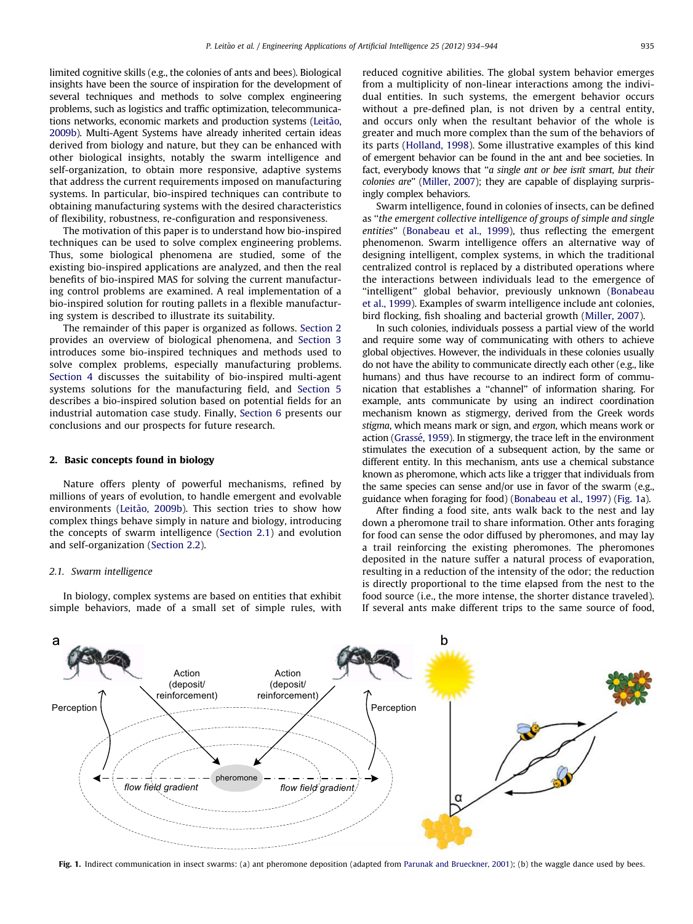<span id="page-1-0"></span>limited cognitive skills (e.g., the colonies of ants and bees). Biological insights have been the source of inspiration for the development of several techniques and methods to solve complex engineering problems, such as logistics and traffic optimization, telecommunications networks, economic markets and production systems (Leitão, [2009b\)](#page-8-0). Multi-Agent Systems have already inherited certain ideas derived from biology and nature, but they can be enhanced with other biological insights, notably the swarm intelligence and self-organization, to obtain more responsive, adaptive systems that address the current requirements imposed on manufacturing systems. In particular, bio-inspired techniques can contribute to obtaining manufacturing systems with the desired characteristics of flexibility, robustness, re-configuration and responsiveness.

The motivation of this paper is to understand how bio-inspired techniques can be used to solve complex engineering problems. Thus, some biological phenomena are studied, some of the existing bio-inspired applications are analyzed, and then the real benefits of bio-inspired MAS for solving the current manufacturing control problems are examined. A real implementation of a bio-inspired solution for routing pallets in a flexible manufacturing system is described to illustrate its suitability.

The remainder of this paper is organized as follows. Section 2 provides an overview of biological phenomena, and [Section 3](#page-2-0) introduces some bio-inspired techniques and methods used to solve complex problems, especially manufacturing problems. [Section 4](#page-4-0) discusses the suitability of bio-inspired multi-agent systems solutions for the manufacturing field, and [Section 5](#page-6-0) describes a bio-inspired solution based on potential fields for an industrial automation case study. Finally, [Section 6](#page-7-0) presents our conclusions and our prospects for future research.

#### 2. Basic concepts found in biology

Nature offers plenty of powerful mechanisms, refined by millions of years of evolution, to handle emergent and evolvable environments [\(Leit](#page-8-0)ã[o, 2009b](#page-8-0)). This section tries to show how complex things behave simply in nature and biology, introducing the concepts of swarm intelligence (Section 2.1) and evolution and self-organization [\(Section 2.2](#page-2-0)).

#### 2.1. Swarm intelligence

In biology, complex systems are based on entities that exhibit simple behaviors, made of a small set of simple rules, with reduced cognitive abilities. The global system behavior emerges from a multiplicity of non-linear interactions among the individual entities. In such systems, the emergent behavior occurs without a pre-defined plan, is not driven by a central entity, and occurs only when the resultant behavior of the whole is greater and much more complex than the sum of the behaviors of its parts ([Holland, 1998](#page-8-0)). Some illustrative examples of this kind of emergent behavior can be found in the ant and bee societies. In fact, everybody knows that "a single ant or bee isnt smart, but their colonies are'' [\(Miller, 2007\)](#page-9-0); they are capable of displaying surprisingly complex behaviors.

Swarm intelligence, found in colonies of insects, can be defined as ''the emergent collective intelligence of groups of simple and single entities'' [\(Bonabeau et al., 1999\)](#page-7-0), thus reflecting the emergent phenomenon. Swarm intelligence offers an alternative way of designing intelligent, complex systems, in which the traditional centralized control is replaced by a distributed operations where the interactions between individuals lead to the emergence of ''intelligent'' global behavior, previously unknown [\(Bonabeau](#page-7-0) [et al., 1999](#page-7-0)). Examples of swarm intelligence include ant colonies, bird flocking, fish shoaling and bacterial growth [\(Miller, 2007\)](#page-9-0).

In such colonies, individuals possess a partial view of the world and require some way of communicating with others to achieve global objectives. However, the individuals in these colonies usually do not have the ability to communicate directly each other (e.g., like humans) and thus have recourse to an indirect form of communication that establishes a ''channel'' of information sharing. For example, ants communicate by using an indirect coordination mechanism known as stigmergy, derived from the Greek words stigma, which means mark or sign, and ergon, which means work or action (Grassé, 1959). In stigmergy, the trace left in the environment stimulates the execution of a subsequent action, by the same or different entity. In this mechanism, ants use a chemical substance known as pheromone, which acts like a trigger that individuals from the same species can sense and/or use in favor of the swarm (e.g., guidance when foraging for food) [\(Bonabeau et al., 1997](#page-7-0)) (Fig. 1a).

After finding a food site, ants walk back to the nest and lay down a pheromone trail to share information. Other ants foraging for food can sense the odor diffused by pheromones, and may lay a trail reinforcing the existing pheromones. The pheromones deposited in the nature suffer a natural process of evaporation, resulting in a reduction of the intensity of the odor; the reduction is directly proportional to the time elapsed from the nest to the food source (i.e., the more intense, the shorter distance traveled). If several ants make different trips to the same source of food,



Fig. 1. Indirect communication in insect swarms: (a) ant pheromone deposition (adapted from [Parunak and Brueckner, 2001](#page-9-0)); (b) the waggle dance used by bees.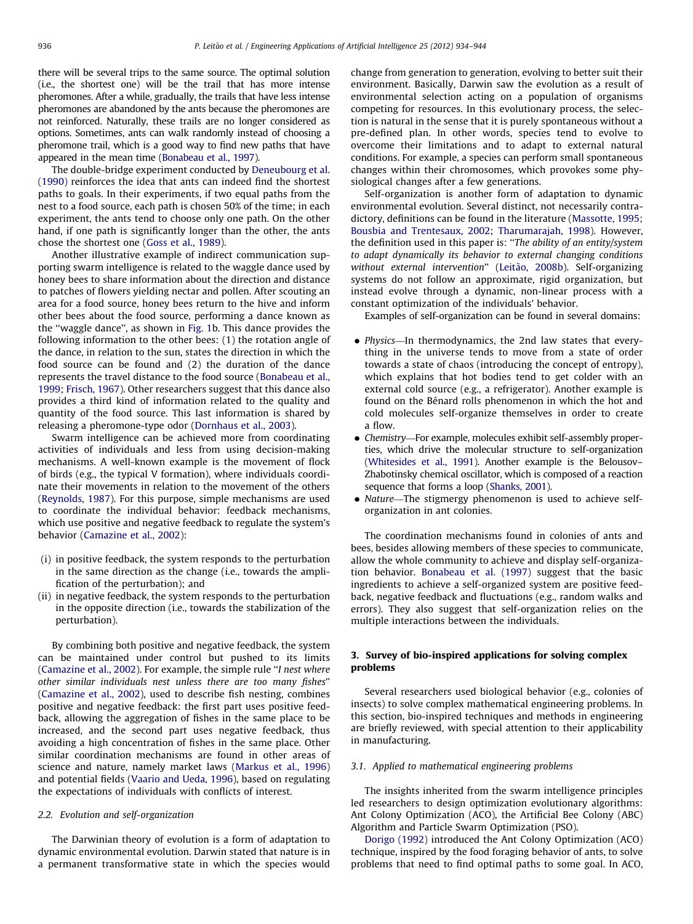<span id="page-2-0"></span>there will be several trips to the same source. The optimal solution (i.e., the shortest one) will be the trail that has more intense pheromones. After a while, gradually, the trails that have less intense pheromones are abandoned by the ants because the pheromones are not reinforced. Naturally, these trails are no longer considered as options. Sometimes, ants can walk randomly instead of choosing a pheromone trail, which is a good way to find new paths that have appeared in the mean time [\(Bonabeau et al., 1997\)](#page-7-0).

The double-bridge experiment conducted by [Deneubourg et al.](#page-7-0) [\(1990\)](#page-7-0) reinforces the idea that ants can indeed find the shortest paths to goals. In their experiments, if two equal paths from the nest to a food source, each path is chosen 50% of the time; in each experiment, the ants tend to choose only one path. On the other hand, if one path is significantly longer than the other, the ants chose the shortest one ([Goss et al., 1989\)](#page-8-0).

Another illustrative example of indirect communication supporting swarm intelligence is related to the waggle dance used by honey bees to share information about the direction and distance to patches of flowers yielding nectar and pollen. After scouting an area for a food source, honey bees return to the hive and inform other bees about the food source, performing a dance known as the ''waggle dance'', as shown in [Fig. 1](#page-1-0)b. This dance provides the following information to the other bees: (1) the rotation angle of the dance, in relation to the sun, states the direction in which the food source can be found and (2) the duration of the dance represents the travel distance to the food source [\(Bonabeau et al.,](#page-7-0) [1999](#page-7-0); [Frisch, 1967\)](#page-8-0). Other researchers suggest that this dance also provides a third kind of information related to the quality and quantity of the food source. This last information is shared by releasing a pheromone-type odor ([Dornhaus et al., 2003](#page-8-0)).

Swarm intelligence can be achieved more from coordinating activities of individuals and less from using decision-making mechanisms. A well-known example is the movement of flock of birds (e.g., the typical V formation), where individuals coordinate their movements in relation to the movement of the others ([Reynolds, 1987\)](#page-9-0). For this purpose, simple mechanisms are used to coordinate the individual behavior: feedback mechanisms, which use positive and negative feedback to regulate the system's behavior [\(Camazine et al., 2002\)](#page-7-0):

- (i) in positive feedback, the system responds to the perturbation in the same direction as the change (i.e., towards the amplification of the perturbation); and
- (ii) in negative feedback, the system responds to the perturbation in the opposite direction (i.e., towards the stabilization of the perturbation).

By combining both positive and negative feedback, the system can be maintained under control but pushed to its limits ([Camazine et al., 2002](#page-7-0)). For example, the simple rule ''I nest where other similar individuals nest unless there are too many fishes'' ([Camazine et al., 2002](#page-7-0)), used to describe fish nesting, combines positive and negative feedback: the first part uses positive feedback, allowing the aggregation of fishes in the same place to be increased, and the second part uses negative feedback, thus avoiding a high concentration of fishes in the same place. Other similar coordination mechanisms are found in other areas of science and nature, namely market laws [\(Markus et al., 1996\)](#page-9-0) and potential fields ([Vaario and Ueda, 1996](#page-10-0)), based on regulating the expectations of individuals with conflicts of interest.

#### 2.2. Evolution and self-organization

The Darwinian theory of evolution is a form of adaptation to dynamic environmental evolution. Darwin stated that nature is in a permanent transformative state in which the species would change from generation to generation, evolving to better suit their environment. Basically, Darwin saw the evolution as a result of environmental selection acting on a population of organisms competing for resources. In this evolutionary process, the selection is natural in the sense that it is purely spontaneous without a pre-defined plan. In other words, species tend to evolve to overcome their limitations and to adapt to external natural conditions. For example, a species can perform small spontaneous changes within their chromosomes, which provokes some physiological changes after a few generations.

Self-organization is another form of adaptation to dynamic environmental evolution. Several distinct, not necessarily contradictory, definitions can be found in the literature ([Massotte, 1995;](#page-9-0) [Bousbia and Trentesaux, 2002](#page-7-0); [Tharumarajah, 1998](#page-9-0)). However, the definition used in this paper is: ''The ability of an entity/system to adapt dynamically its behavior to external changing conditions without external intervention" [\(Leit](#page-8-0)ã[o, 2008b](#page-8-0)). Self-organizing systems do not follow an approximate, rigid organization, but instead evolve through a dynamic, non-linear process with a constant optimization of the individuals' behavior.

Examples of self-organization can be found in several domains:

- Physics-In thermodynamics, the 2nd law states that everything in the universe tends to move from a state of order towards a state of chaos (introducing the concept of entropy), which explains that hot bodies tend to get colder with an external cold source (e.g., a refrigerator). Another example is found on the Bénard rolls phenomenon in which the hot and cold molecules self-organize themselves in order to create a flow.
- Chemistry-For example, molecules exhibit self-assembly properties, which drive the molecular structure to self-organization ([Whitesides et al., 1991\)](#page-10-0). Another example is the Belousov– Zhabotinsky chemical oscillator, which is composed of a reaction sequence that forms a loop [\(Shanks, 2001\)](#page-9-0).
- Nature-The stigmergy phenomenon is used to achieve selforganization in ant colonies.

The coordination mechanisms found in colonies of ants and bees, besides allowing members of these species to communicate, allow the whole community to achieve and display self-organization behavior. [Bonabeau et al. \(1997\)](#page-7-0) suggest that the basic ingredients to achieve a self-organized system are positive feedback, negative feedback and fluctuations (e.g., random walks and errors). They also suggest that self-organization relies on the multiple interactions between the individuals.

### 3. Survey of bio-inspired applications for solving complex problems

Several researchers used biological behavior (e.g., colonies of insects) to solve complex mathematical engineering problems. In this section, bio-inspired techniques and methods in engineering are briefly reviewed, with special attention to their applicability in manufacturing.

#### 3.1. Applied to mathematical engineering problems

The insights inherited from the swarm intelligence principles led researchers to design optimization evolutionary algorithms: Ant Colony Optimization (ACO), the Artificial Bee Colony (ABC) Algorithm and Particle Swarm Optimization (PSO).

[Dorigo \(1992\)](#page-8-0) introduced the Ant Colony Optimization (ACO) technique, inspired by the food foraging behavior of ants, to solve problems that need to find optimal paths to some goal. In ACO,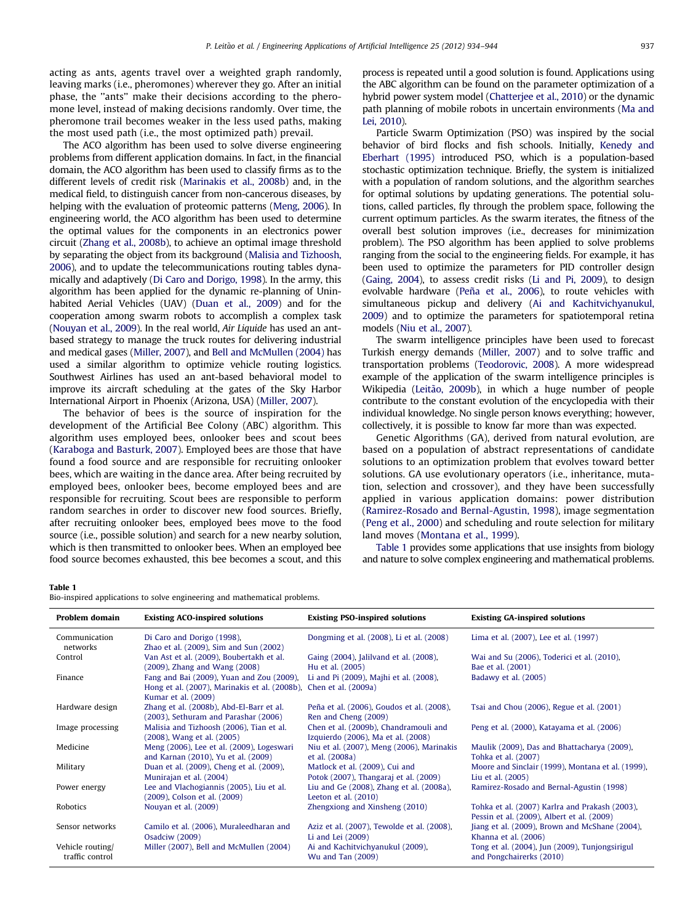acting as ants, agents travel over a weighted graph randomly, leaving marks (i.e., pheromones) wherever they go. After an initial phase, the ''ants'' make their decisions according to the pheromone level, instead of making decisions randomly. Over time, the pheromone trail becomes weaker in the less used paths, making the most used path (i.e., the most optimized path) prevail.

The ACO algorithm has been used to solve diverse engineering problems from different application domains. In fact, in the financial domain, the ACO algorithm has been used to classify firms as to the different levels of credit risk ([Marinakis et al., 2008b](#page-9-0)) and, in the medical field, to distinguish cancer from non-cancerous diseases, by helping with the evaluation of proteomic patterns [\(Meng, 2006\)](#page-9-0). In engineering world, the ACO algorithm has been used to determine the optimal values for the components in an electronics power circuit [\(Zhang et al., 2008b](#page-10-0)), to achieve an optimal image threshold by separating the object from its background ([Malisia and Tizhoosh,](#page-9-0) [2006](#page-9-0)), and to update the telecommunications routing tables dynamically and adaptively ([Di Caro and Dorigo, 1998](#page-7-0)). In the army, this algorithm has been applied for the dynamic re-planning of Uninhabited Aerial Vehicles (UAV) [\(Duan et al., 2009](#page-8-0)) and for the cooperation among swarm robots to accomplish a complex task [\(Nouyan et al., 2009](#page-9-0)). In the real world, Air Liquide has used an antbased strategy to manage the truck routes for delivering industrial and medical gases [\(Miller, 2007](#page-9-0)), and [Bell and McMullen \(2004\)](#page-7-0) has used a similar algorithm to optimize vehicle routing logistics. Southwest Airlines has used an ant-based behavioral model to improve its aircraft scheduling at the gates of the Sky Harbor International Airport in Phoenix (Arizona, USA) ([Miller, 2007\)](#page-9-0).

The behavior of bees is the source of inspiration for the development of the Artificial Bee Colony (ABC) algorithm. This algorithm uses employed bees, onlooker bees and scout bees ([Karaboga and Basturk, 2007\)](#page-8-0). Employed bees are those that have found a food source and are responsible for recruiting onlooker bees, which are waiting in the dance area. After being recruited by employed bees, onlooker bees, become employed bees and are responsible for recruiting. Scout bees are responsible to perform random searches in order to discover new food sources. Briefly, after recruiting onlooker bees, employed bees move to the food source (i.e., possible solution) and search for a new nearby solution, which is then transmitted to onlooker bees. When an employed bee food source becomes exhausted, this bee becomes a scout, and this process is repeated until a good solution is found. Applications using the ABC algorithm can be found on the parameter optimization of a hybrid power system model ([Chatterjee et al., 2010](#page-7-0)) or the dynamic path planning of mobile robots in uncertain environments [\(Ma and](#page-8-0) [Lei, 2010\)](#page-8-0).

Particle Swarm Optimization (PSO) was inspired by the social behavior of bird flocks and fish schools. Initially, [Kenedy and](#page-8-0) [Eberhart \(1995\)](#page-8-0) introduced PSO, which is a population-based stochastic optimization technique. Briefly, the system is initialized with a population of random solutions, and the algorithm searches for optimal solutions by updating generations. The potential solutions, called particles, fly through the problem space, following the current optimum particles. As the swarm iterates, the fitness of the overall best solution improves (i.e., decreases for minimization problem). The PSO algorithm has been applied to solve problems ranging from the social to the engineering fields. For example, it has been used to optimize the parameters for PID controller design [\(Gaing, 2004](#page-8-0)), to assess credit risks ([Li and Pi, 2009\)](#page-8-0), to design evolvable hardware (Peña et al., 2006), to route vehicles with simultaneous pickup and delivery [\(Ai and Kachitvichyanukul,](#page-7-0) [2009](#page-7-0)) and to optimize the parameters for spatiotemporal retina models [\(Niu et al., 2007](#page-9-0)).

The swarm intelligence principles have been used to forecast Turkish energy demands ([Miller, 2007](#page-9-0)) and to solve traffic and transportation problems [\(Teodorovic, 2008\)](#page-9-0). A more widespread example of the application of the swarm intelligence principles is Wikipedia (Leitão, 2009b), in which a huge number of people contribute to the constant evolution of the encyclopedia with their individual knowledge. No single person knows everything; however, collectively, it is possible to know far more than was expected.

Genetic Algorithms (GA), derived from natural evolution, are based on a population of abstract representations of candidate solutions to an optimization problem that evolves toward better solutions. GA use evolutionary operators (i.e., inheritance, mutation, selection and crossover), and they have been successfully applied in various application domains: power distribution ([Ramirez-Rosado and Bernal-Agustin, 1998](#page-9-0)), image segmentation ([Peng et al., 2000](#page-9-0)) and scheduling and route selection for military land moves ([Montana et al., 1999\)](#page-9-0).

Table 1 provides some applications that use insights from biology and nature to solve complex engineering and mathematical problems.

#### Table 1

Bio-inspired applications to solve engineering and mathematical problems.

| Problem domain                      | <b>Existing ACO-inspired solutions</b>                                                                                                | <b>Existing PSO-inspired solutions</b>                                      | <b>Existing GA-inspired solutions</b>                                                        |
|-------------------------------------|---------------------------------------------------------------------------------------------------------------------------------------|-----------------------------------------------------------------------------|----------------------------------------------------------------------------------------------|
| Communication<br>networks           | Di Caro and Dorigo (1998).<br>Zhao et al. (2009), Sim and Sun (2002)                                                                  | Dongming et al. (2008), Li et al. (2008)                                    | Lima et al. (2007), Lee et al. (1997)                                                        |
| Control                             | Van Ast et al. (2009), Boubertakh et al.<br>(2009), Zhang and Wang (2008)                                                             | Gaing (2004), Jalilvand et al. (2008),<br>Hu et al. (2005)                  | Wai and Su (2006), Toderici et al. (2010),<br>Bae et al. (2001)                              |
| Finance                             | Fang and Bai (2009), Yuan and Zou (2009),<br>Hong et al. (2007), Marinakis et al. (2008b), Chen et al. (2009a)<br>Kumar et al. (2009) | Li and Pi (2009), Majhi et al. (2008),                                      | Badawy et al. (2005)                                                                         |
| Hardware design                     | Zhang et al. (2008b), Abd-El-Barr et al.<br>(2003), Sethuram and Parashar (2006)                                                      | Peña et al. (2006), Goudos et al. (2008),<br>Ren and Cheng (2009)           | Tsai and Chou (2006), Regue et al. (2001)                                                    |
| Image processing                    | Malisia and Tizhoosh (2006), Tian et al.<br>$(2008)$ , Wang et al. $(2005)$                                                           | Chen et al. (2009b), Chandramouli and<br>Izquierdo (2006), Ma et al. (2008) | Peng et al. (2000), Katayama et al. (2006)                                                   |
| Medicine                            | Meng (2006), Lee et al. (2009), Logeswari<br>and Karnan (2010), Yu et al. (2009)                                                      | Niu et al. (2007), Meng (2006), Marinakis<br>et al. (2008a)                 | Maulik (2009), Das and Bhattacharya (2009),<br>Tohka et al. (2007)                           |
| Military                            | Duan et al. (2009), Cheng et al. (2009),<br>Munirajan et al. (2004)                                                                   | Matlock et al. (2009), Cui and<br>Potok (2007), Thangaraj et al. (2009)     | Moore and Sinclair (1999), Montana et al. (1999).<br>Liu et al. (2005)                       |
| Power energy                        | Lee and Vlachogiannis (2005), Liu et al.<br>(2009), Colson et al. (2009)                                                              | Liu and Ge (2008), Zhang et al. (2008a),<br>Leeton et al. $(2010)$          | Ramirez-Rosado and Bernal-Agustin (1998)                                                     |
| Robotics                            | Nouyan et al. (2009)                                                                                                                  | Zhengxiong and Xinsheng (2010)                                              | Tohka et al. (2007) Karlra and Prakash (2003),<br>Pessin et al. (2009), Albert et al. (2009) |
| Sensor networks                     | Camilo et al. (2006), Muraleedharan and<br><b>Osadciw</b> (2009)                                                                      | Aziz et al. (2007), Tewolde et al. (2008),<br>Li and Lei $(2009)$           | Jiang et al. (2009), Brown and McShane (2004),<br>Khanna et al. (2006)                       |
| Vehicle routing/<br>traffic control | Miller (2007), Bell and McMullen (2004)                                                                                               | Ai and Kachitvichyanukul (2009),<br>Wu and Tan (2009)                       | Tong et al. (2004), Jun (2009), Tunjongsirigul<br>and Pongchairerks (2010)                   |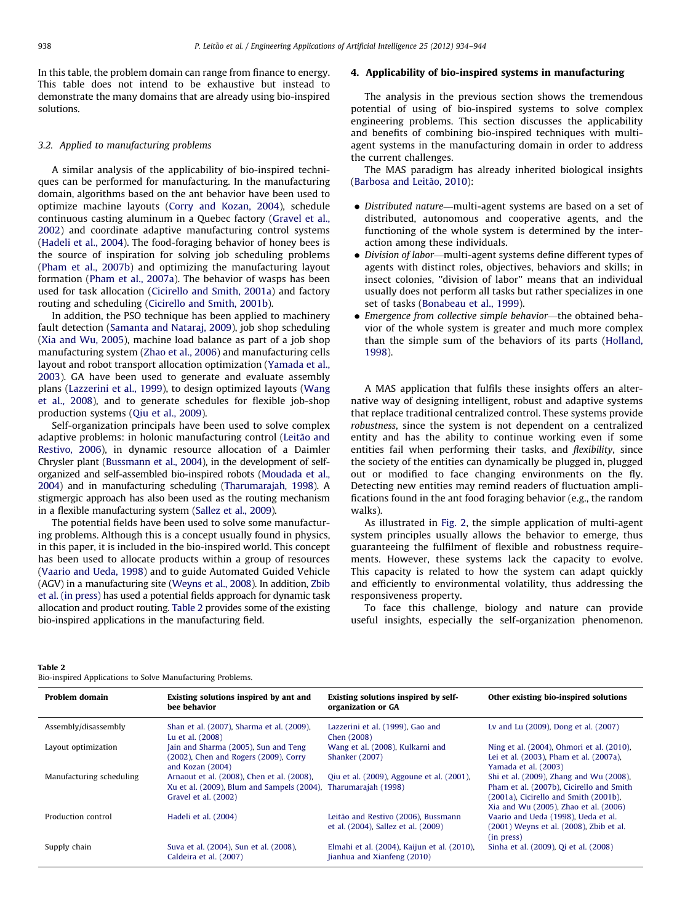<span id="page-4-0"></span>In this table, the problem domain can range from finance to energy. This table does not intend to be exhaustive but instead to demonstrate the many domains that are already using bio-inspired solutions.

#### 3.2. Applied to manufacturing problems

A similar analysis of the applicability of bio-inspired techniques can be performed for manufacturing. In the manufacturing domain, algorithms based on the ant behavior have been used to optimize machine layouts [\(Corry and Kozan, 2004](#page-7-0)), schedule continuous casting aluminum in a Quebec factory [\(Gravel et al.,](#page-8-0) [2002\)](#page-8-0) and coordinate adaptive manufacturing control systems ([Hadeli et al., 2004](#page-8-0)). The food-foraging behavior of honey bees is the source of inspiration for solving job scheduling problems ([Pham et al., 2007b\)](#page-9-0) and optimizing the manufacturing layout formation [\(Pham et al., 2007a\)](#page-9-0). The behavior of wasps has been used for task allocation [\(Cicirello and Smith, 2001a](#page-7-0)) and factory routing and scheduling ([Cicirello and Smith, 2001b](#page-7-0)).

In addition, the PSO technique has been applied to machinery fault detection ([Samanta and Nataraj, 2009](#page-9-0)), job shop scheduling ([Xia and Wu, 2005](#page-10-0)), machine load balance as part of a job shop manufacturing system ([Zhao et al., 2006](#page-10-0)) and manufacturing cells layout and robot transport allocation optimization ([Yamada et al.,](#page-10-0) [2003\)](#page-10-0). GA have been used to generate and evaluate assembly plans [\(Lazzerini et al., 1999\)](#page-8-0), to design optimized layouts [\(Wang](#page-10-0) [et al., 2008\)](#page-10-0), and to generate schedules for flexible job-shop production systems [\(Qiu et al., 2009](#page-9-0)).

Self-organization principals have been used to solve complex adaptive problems: in holonic manufacturing control ([Leitao and](#page-8-0) ~ [Restivo, 2006](#page-8-0)), in dynamic resource allocation of a Daimler Chrysler plant [\(Bussmann et al., 2004\)](#page-7-0), in the development of selforganized and self-assembled bio-inspired robots [\(Moudada et al.,](#page-9-0) [2004](#page-9-0)) and in manufacturing scheduling [\(Tharumarajah, 1998](#page-9-0)). A stigmergic approach has also been used as the routing mechanism in a flexible manufacturing system [\(Sallez et al., 2009](#page-9-0)).

The potential fields have been used to solve some manufacturing problems. Although this is a concept usually found in physics, in this paper, it is included in the bio-inspired world. This concept has been used to allocate products within a group of resources ([Vaario and Ueda, 1998](#page-10-0)) and to guide Automated Guided Vehicle (AGV) in a manufacturing site [\(Weyns et al., 2008](#page-10-0)). In addition, [Zbib](#page-10-0) [et al. \(in press\)](#page-10-0) has used a potential fields approach for dynamic task allocation and product routing. Table 2 provides some of the existing bio-inspired applications in the manufacturing field.

#### 4. Applicability of bio-inspired systems in manufacturing

The analysis in the previous section shows the tremendous potential of using of bio-inspired systems to solve complex engineering problems. This section discusses the applicability and benefits of combining bio-inspired techniques with multiagent systems in the manufacturing domain in order to address the current challenges.

The MAS paradigm has already inherited biological insights (Barbosa and Leitão, 2010):

- $\bullet$  Distributed nature—multi-agent systems are based on a set of distributed, autonomous and cooperative agents, and the functioning of the whole system is determined by the interaction among these individuals.
- $\bullet$  Division of labor-multi-agent systems define different types of agents with distinct roles, objectives, behaviors and skills; in insect colonies, ''division of labor'' means that an individual usually does not perform all tasks but rather specializes in one set of tasks [\(Bonabeau et al., 1999](#page-7-0)).
- Emergence from collective simple behavior—the obtained behavior of the whole system is greater and much more complex than the simple sum of the behaviors of its parts ([Holland,](#page-8-0) [1998\)](#page-8-0).

A MAS application that fulfils these insights offers an alternative way of designing intelligent, robust and adaptive systems that replace traditional centralized control. These systems provide robustness, since the system is not dependent on a centralized entity and has the ability to continue working even if some entities fail when performing their tasks, and flexibility, since the society of the entities can dynamically be plugged in, plugged out or modified to face changing environments on the fly. Detecting new entities may remind readers of fluctuation amplifications found in the ant food foraging behavior (e.g., the random walks).

As illustrated in [Fig. 2,](#page-5-0) the simple application of multi-agent system principles usually allows the behavior to emerge, thus guaranteeing the fulfilment of flexible and robustness requirements. However, these systems lack the capacity to evolve. This capacity is related to how the system can adapt quickly and efficiently to environmental volatility, thus addressing the responsiveness property.

To face this challenge, biology and nature can provide useful insights, especially the self-organization phenomenon.

#### Table 2

Bio-inspired Applications to Solve Manufacturing Problems.

| <b>Problem domain</b>    | Existing solutions inspired by ant and<br>bee behavior                                                                               | Existing solutions inspired by self-<br>organization or GA                 | Other existing bio-inspired solutions                                                                                                                                 |
|--------------------------|--------------------------------------------------------------------------------------------------------------------------------------|----------------------------------------------------------------------------|-----------------------------------------------------------------------------------------------------------------------------------------------------------------------|
| Assembly/disassembly     | Shan et al. (2007), Sharma et al. (2009),<br>Lu et al. (2008)                                                                        | Lazzerini et al. (1999), Gao and<br>Chen (2008)                            | Ly and Lu (2009), Dong et al. (2007)                                                                                                                                  |
| Layout optimization      | Jain and Sharma (2005), Sun and Teng<br>$(2002)$ , Chen and Rogers $(2009)$ , Corry<br>and Kozan (2004)                              | Wang et al. (2008), Kulkarni and<br><b>Shanker</b> (2007)                  | Ning et al. (2004), Ohmori et al. (2010),<br>Lei et al. (2003), Pham et al. (2007a),<br>Yamada et al. (2003)                                                          |
| Manufacturing scheduling | Arnaout et al. (2008), Chen et al. (2008),<br>Xu et al. (2009), Blum and Sampels (2004), Tharumarajah (1998)<br>Gravel et al. (2002) | Qiu et al. (2009), Aggoune et al. (2001),                                  | Shi et al. (2009), Zhang and Wu (2008),<br>Pham et al. (2007b). Cicirello and Smith<br>(2001a), Cicirello and Smith (2001b).<br>Xia and Wu (2005), Zhao et al. (2006) |
| Production control       | Hadeli et al. (2004)                                                                                                                 | Leitão and Restivo (2006), Bussmann<br>et al. (2004), Sallez et al. (2009) | Vaario and Ueda (1998), Ueda et al.<br>(2001) Weyns et al. (2008), Zbib et al.<br>(in press)                                                                          |
| Supply chain             | Suva et al. (2004), Sun et al. (2008),<br>Caldeira et al. (2007)                                                                     | Elmahi et al. (2004), Kaijun et al. (2010),<br>Jianhua and Xianfeng (2010) | Sinha et al. (2009), Qi et al. (2008)                                                                                                                                 |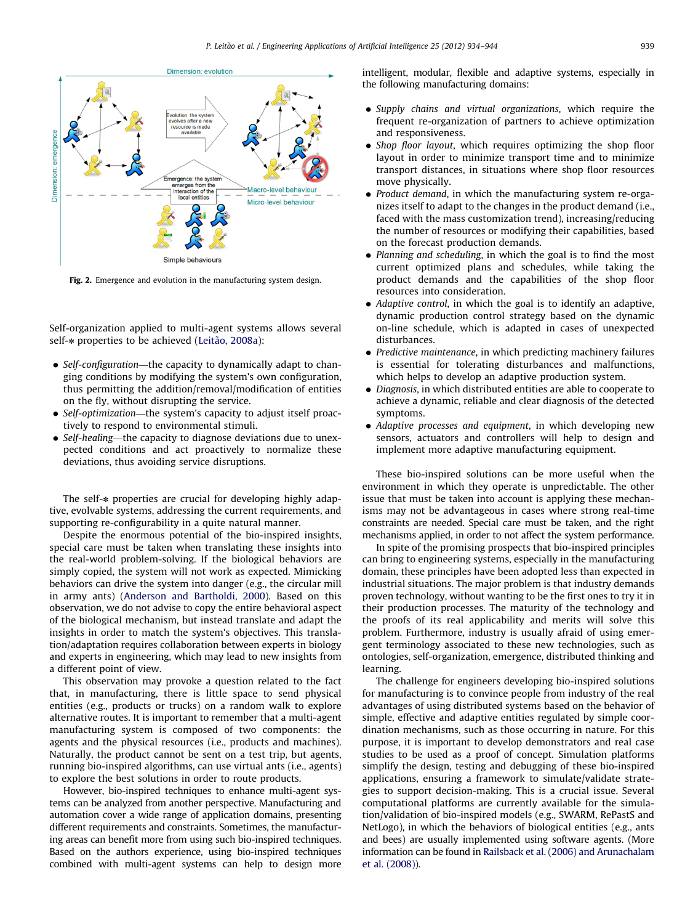<span id="page-5-0"></span>

Fig. 2. Emergence and evolution in the manufacturing system design.

Self-organization applied to multi-agent systems allows several self-\* properties to be achieved (Leitão, 2008a):

- Self-configuration—the capacity to dynamically adapt to changing conditions by modifying the system's own configuration, thus permitting the addition/removal/modification of entities on the fly, without disrupting the service.
- Self-optimization—the system's capacity to adjust itself proactively to respond to environmental stimuli.
- Self-healing—the capacity to diagnose deviations due to unexpected conditions and act proactively to normalize these deviations, thus avoiding service disruptions.

The self-\* properties are crucial for developing highly adaptive, evolvable systems, addressing the current requirements, and supporting re-configurability in a quite natural manner.

Despite the enormous potential of the bio-inspired insights, special care must be taken when translating these insights into the real-world problem-solving. If the biological behaviors are simply copied, the system will not work as expected. Mimicking behaviors can drive the system into danger (e.g., the circular mill in army ants) ([Anderson and Bartholdi, 2000\)](#page-7-0). Based on this observation, we do not advise to copy the entire behavioral aspect of the biological mechanism, but instead translate and adapt the insights in order to match the system's objectives. This translation/adaptation requires collaboration between experts in biology and experts in engineering, which may lead to new insights from a different point of view.

This observation may provoke a question related to the fact that, in manufacturing, there is little space to send physical entities (e.g., products or trucks) on a random walk to explore alternative routes. It is important to remember that a multi-agent manufacturing system is composed of two components: the agents and the physical resources (i.e., products and machines). Naturally, the product cannot be sent on a test trip, but agents, running bio-inspired algorithms, can use virtual ants (i.e., agents) to explore the best solutions in order to route products.

However, bio-inspired techniques to enhance multi-agent systems can be analyzed from another perspective. Manufacturing and automation cover a wide range of application domains, presenting different requirements and constraints. Sometimes, the manufacturing areas can benefit more from using such bio-inspired techniques. Based on the authors experience, using bio-inspired techniques combined with multi-agent systems can help to design more intelligent, modular, flexible and adaptive systems, especially in the following manufacturing domains:

- Supply chains and virtual organizations, which require the frequent re-organization of partners to achieve optimization and responsiveness.
- Shop floor layout, which requires optimizing the shop floor layout in order to minimize transport time and to minimize transport distances, in situations where shop floor resources move physically.
- Product demand, in which the manufacturing system re-organizes itself to adapt to the changes in the product demand (i.e., faced with the mass customization trend), increasing/reducing the number of resources or modifying their capabilities, based on the forecast production demands.
- $\bullet$  Planning and scheduling, in which the goal is to find the most current optimized plans and schedules, while taking the product demands and the capabilities of the shop floor resources into consideration.
- Adaptive control, in which the goal is to identify an adaptive, dynamic production control strategy based on the dynamic on-line schedule, which is adapted in cases of unexpected disturbances.
- Predictive maintenance, in which predicting machinery failures is essential for tolerating disturbances and malfunctions, which helps to develop an adaptive production system.
- $\bullet$  Diagnosis, in which distributed entities are able to cooperate to achieve a dynamic, reliable and clear diagnosis of the detected symptoms.
- Adaptive processes and equipment, in which developing new sensors, actuators and controllers will help to design and implement more adaptive manufacturing equipment.

These bio-inspired solutions can be more useful when the environment in which they operate is unpredictable. The other issue that must be taken into account is applying these mechanisms may not be advantageous in cases where strong real-time constraints are needed. Special care must be taken, and the right mechanisms applied, in order to not affect the system performance.

In spite of the promising prospects that bio-inspired principles can bring to engineering systems, especially in the manufacturing domain, these principles have been adopted less than expected in industrial situations. The major problem is that industry demands proven technology, without wanting to be the first ones to try it in their production processes. The maturity of the technology and the proofs of its real applicability and merits will solve this problem. Furthermore, industry is usually afraid of using emergent terminology associated to these new technologies, such as ontologies, self-organization, emergence, distributed thinking and learning.

The challenge for engineers developing bio-inspired solutions for manufacturing is to convince people from industry of the real advantages of using distributed systems based on the behavior of simple, effective and adaptive entities regulated by simple coordination mechanisms, such as those occurring in nature. For this purpose, it is important to develop demonstrators and real case studies to be used as a proof of concept. Simulation platforms simplify the design, testing and debugging of these bio-inspired applications, ensuring a framework to simulate/validate strategies to support decision-making. This is a crucial issue. Several computational platforms are currently available for the simulation/validation of bio-inspired models (e.g., SWARM, RePastS and NetLogo), in which the behaviors of biological entities (e.g., ants and bees) are usually implemented using software agents. (More information can be found in [Railsback et al. \(2006\)](#page-9-0) [and Arunachalam](#page-7-0) [et al. \(2008\)\)](#page-7-0).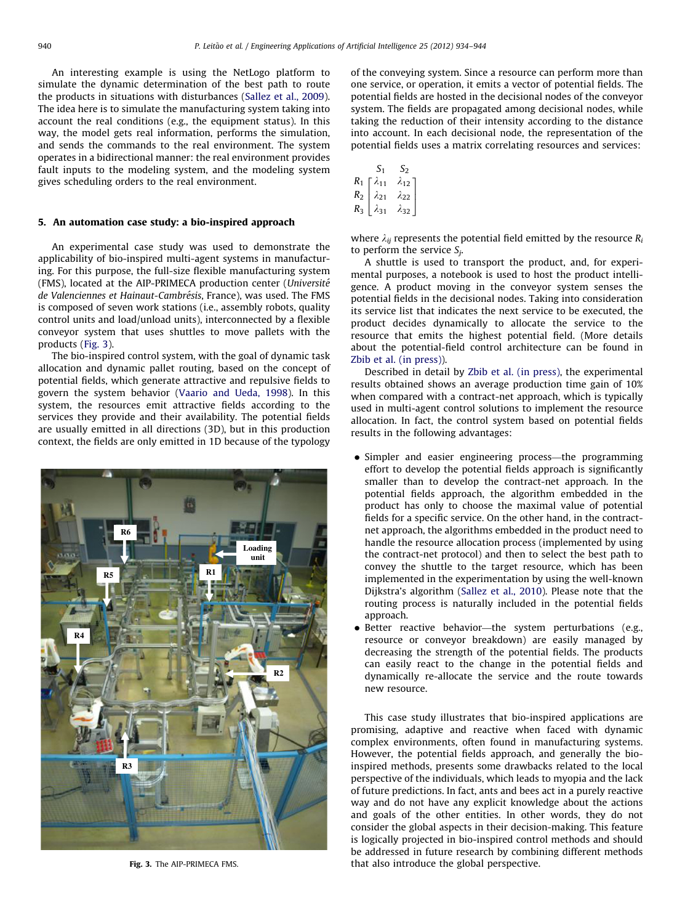<span id="page-6-0"></span>An interesting example is using the NetLogo platform to simulate the dynamic determination of the best path to route the products in situations with disturbances ([Sallez et al., 2009\)](#page-9-0). The idea here is to simulate the manufacturing system taking into account the real conditions (e.g., the equipment status). In this way, the model gets real information, performs the simulation, and sends the commands to the real environment. The system operates in a bidirectional manner: the real environment provides fault inputs to the modeling system, and the modeling system gives scheduling orders to the real environment.

## 5. An automation case study: a bio-inspired approach

An experimental case study was used to demonstrate the applicability of bio-inspired multi-agent systems in manufacturing. For this purpose, the full-size flexible manufacturing system (FMS), located at the AIP-PRIMECA production center (Université de Valenciennes et Hainaut-Cambrésis, France), was used. The FMS is composed of seven work stations (i.e., assembly robots, quality control units and load/unload units), interconnected by a flexible conveyor system that uses shuttles to move pallets with the products (Fig. 3).

The bio-inspired control system, with the goal of dynamic task allocation and dynamic pallet routing, based on the concept of potential fields, which generate attractive and repulsive fields to govern the system behavior ([Vaario and Ueda, 1998](#page-10-0)). In this system, the resources emit attractive fields according to the services they provide and their availability. The potential fields are usually emitted in all directions (3D), but in this production context, the fields are only emitted in 1D because of the typology



Fig. 3. The AIP-PRIMECA FMS.

of the conveying system. Since a resource can perform more than one service, or operation, it emits a vector of potential fields. The potential fields are hosted in the decisional nodes of the conveyor system. The fields are propagated among decisional nodes, while taking the reduction of their intensity according to the distance into account. In each decisional node, the representation of the potential fields uses a matrix correlating resources and services:

$$
\begin{array}{cc}\n S_1 & S_2 \\
R_1 \begin{bmatrix} \lambda_{11} & \lambda_{12} \\ \lambda_{21} & \lambda_{22} \\ R_3 \end{bmatrix} \\
R_3 \end{array}
$$

where  $\lambda_{ij}$  represents the potential field emitted by the resource  $R_i$ to perform the service  $S_i$ .

A shuttle is used to transport the product, and, for experimental purposes, a notebook is used to host the product intelligence. A product moving in the conveyor system senses the potential fields in the decisional nodes. Taking into consideration its service list that indicates the next service to be executed, the product decides dynamically to allocate the service to the resource that emits the highest potential field. (More details about the potential-field control architecture can be found in [Zbib et al. \(in press\)\)](#page-10-0).

Described in detail by [Zbib et al. \(in press\)](#page-10-0), the experimental results obtained shows an average production time gain of 10% when compared with a contract-net approach, which is typically used in multi-agent control solutions to implement the resource allocation. In fact, the control system based on potential fields results in the following advantages:

- Simpler and easier engineering process—the programming effort to develop the potential fields approach is significantly smaller than to develop the contract-net approach. In the potential fields approach, the algorithm embedded in the product has only to choose the maximal value of potential fields for a specific service. On the other hand, in the contractnet approach, the algorithms embedded in the product need to handle the resource allocation process (implemented by using the contract-net protocol) and then to select the best path to convey the shuttle to the target resource, which has been implemented in the experimentation by using the well-known Dijkstra's algorithm ([Sallez et al., 2010\)](#page-9-0). Please note that the routing process is naturally included in the potential fields approach.
- Better reactive behavior—the system perturbations (e.g., resource or conveyor breakdown) are easily managed by decreasing the strength of the potential fields. The products can easily react to the change in the potential fields and dynamically re-allocate the service and the route towards new resource.

This case study illustrates that bio-inspired applications are promising, adaptive and reactive when faced with dynamic complex environments, often found in manufacturing systems. However, the potential fields approach, and generally the bioinspired methods, presents some drawbacks related to the local perspective of the individuals, which leads to myopia and the lack of future predictions. In fact, ants and bees act in a purely reactive way and do not have any explicit knowledge about the actions and goals of the other entities. In other words, they do not consider the global aspects in their decision-making. This feature is logically projected in bio-inspired control methods and should be addressed in future research by combining different methods that also introduce the global perspective.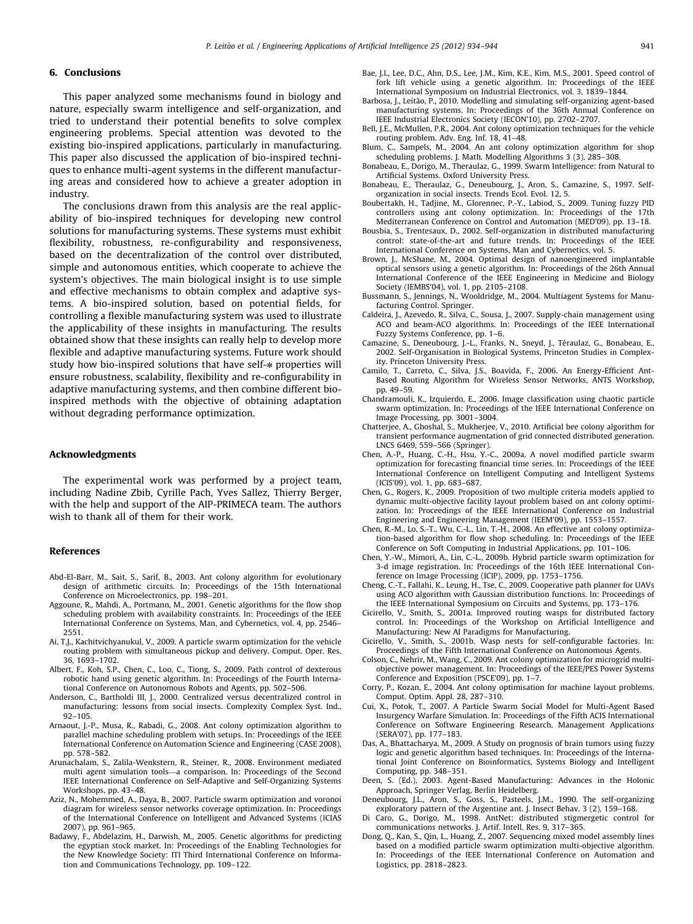#### <span id="page-7-0"></span>6. Conclusions

This paper analyzed some mechanisms found in biology and nature, especially swarm intelligence and self-organization, and tried to understand their potential benefits to solve complex engineering problems. Special attention was devoted to the existing bio-inspired applications, particularly in manufacturing. This paper also discussed the application of bio-inspired techniques to enhance multi-agent systems in the different manufacturing areas and considered how to achieve a greater adoption in industry.

The conclusions drawn from this analysis are the real applicability of bio-inspired techniques for developing new control solutions for manufacturing systems. These systems must exhibit flexibility, robustness, re-configurability and responsiveness, based on the decentralization of the control over distributed, simple and autonomous entities, which cooperate to achieve the system's objectives. The main biological insight is to use simple and effective mechanisms to obtain complex and adaptive systems. A bio-inspired solution, based on potential fields, for controlling a flexible manufacturing system was used to illustrate the applicability of these insights in manufacturing. The results obtained show that these insights can really help to develop more flexible and adaptive manufacturing systems. Future work should study how bio-inspired solutions that have self-\* properties will ensure robustness, scalability, flexibility and re-configurability in adaptive manufacturing systems, and then combine different bioinspired methods with the objective of obtaining adaptation without degrading performance optimization.

#### Acknowledgments

The experimental work was performed by a project team, including Nadine Zbib, Cyrille Pach, Yves Sallez, Thierry Berger, with the help and support of the AIP-PRIMECA team. The authors wish to thank all of them for their work.

#### References

- Abd-El-Barr, M., Sait, S., Sarif, B., 2003. Ant colony algorithm for evolutionary design of arithmetic circuits. In: Proceedings of the 15th International Conference on Microelectronics, pp. 198–201.
- Aggoune, R., Mahdi, A., Portmann, M., 2001. Genetic algorithms for the flow shop scheduling problem with availability constraints. In: Proceedings of the IEEE International Conference on Systems, Man, and Cybernetics, vol. 4, pp. 2546– 2551.
- Ai, T.J., Kachitvichyanukul, V., 2009. A particle swarm optimization for the vehicle routing problem with simultaneous pickup and delivery. Comput. Oper. Res. 36, 1693–1702.
- Albert, F., Koh, S.P., Chen, C., Loo, C., Tiong, S., 2009. Path control of dexterous robotic hand using genetic algorithm. In: Proceedings of the Fourth International Conference on Autonomous Robots and Agents, pp. 502–506.
- Anderson, C., Bartholdi III, J., 2000. Centralized versus decentralized control in manufacturing: lessons from social insects. Complexity Complex Syst. Ind., 92–105.
- Arnaout, J.-P., Musa, R., Rabadi, G., 2008. Ant colony optimization algorithm to parallel machine scheduling problem with setups. In: Proceedings of the IEEE International Conference on Automation Science and Engineering (CASE 2008), pp. 578–582.
- Arunachalam, S., Zalila-Wenkstern, R., Steiner, R., 2008. Environment mediated multi agent simulation tools—a comparison. In: Proceedings of the Second IEEE International Conference on Self-Adaptive and Self-Organizing Systems Workshops, pp. 43–48.
- Aziz, N., Mohemmed, A., Daya, B., 2007. Particle swarm optimization and voronoi diagram for wireless sensor networks coverage optimization. In: Proceedings of the International Conference on Intelligent and Advanced Systems (ICIAS 2007), pp. 961–965.
- Badawy, F., Abdelazim, H., Darwish, M., 2005. Genetic algorithms for predicting the egyptian stock market. In: Proceedings of the Enabling Technologies for the New Knowledge Society: ITI Third International Conference on Information and Communications Technology, pp. 109–122.
- Bae, J.I., Lee, D.C., Ahn, D.S., Lee, J.M., Kim, K.E., Kim, M.S., 2001. Speed control of fork lift vehicle using a genetic algorithm. In: Proceedings of the IEEE International Symposium on Industrial Electronics, vol. 3, 1839–1844.
- Barbosa, J., Leitão, P., 2010. Modelling and simulating self-organizing agent-based manufacturing systems. In: Proceedings of the 36th Annual Conference on IEEE Industrial Electronics Society (IECON'10), pp. 2702–2707.
- Bell, J.E., McMullen, P.R., 2004. Ant colony optimization techniques for the vehicle routing problem. Adv. Eng. Inf. 18, 41–48.
- Blum, C., Sampels, M., 2004. An ant colony optimization algorithm for shop scheduling problems. J. Math. Modelling Algorithms 3 (3), 285–308.
- Bonabeau, E., Dorigo, M., Theraulaz, G., 1999. Swarm Intelligence: from Natural to Artificial Systems. Oxford University Press.
- Bonabeau, E., Theraulaz, G., Deneubourg, J., Aron, S., Camazine, S., 1997. Selforganization in social insects. Trends Ecol. Evol. 12, 5.
- Boubertakh, H., Tadjine, M., Glorennec, P.-Y., Labiod, S., 2009. Tuning fuzzy PID controllers using ant colony optimization. In: Proceedings of the 17th Mediterranean Conference on Control and Automation (MED'09), pp. 13–18.
- Bousbia, S., Trentesaux, D., 2002. Self-organization in distributed manufacturing control: state-of-the-art and future trends. In: Proceedings of the IEEE International Conference on Systems, Man and Cybernetics, vol. 5.
- Brown, J., McShane, M., 2004. Optimal design of nanoengineered implantable optical sensors using a genetic algorithm. In: Proceedings of the 26th Annual International Conference of the IEEE Engineering in Medicine and Biology Society (IEMBS'04), vol. 1, pp. 2105–2108.
- Bussmann, S., Jennings, N., Wooldridge, M., 2004. Multiagent Systems for Manufacturing Control. Springer.
- Caldeira, J., Azevedo, R., Silva, C., Sousa, J., 2007. Supply-chain management using ACO and beam-ACO algorithms. In: Proceedings of the IEEE International Fuzzy Systems Conference, pp. 1–6.
- Camazine, S., Deneubourg, J.-L., Franks, N., Sneyd, J., Téraulaz, G., Bonabeau, E., 2002. Self-Organisation in Biological Systems, Princeton Studies in Complexity. Princeton University Press.
- Camilo, T., Carreto, C., Silva, J.S., Boavida, F., 2006. An Energy-Efficient Ant-Based Routing Algorithm for Wireless Sensor Networks, ANTS Workshop, pp. 49–59.
- Chandramouli, K., Izquierdo, E., 2006. Image classification using chaotic particle swarm optimization. In: Proceedings of the IEEE International Conference on Image Processing, pp. 3001–3004.
- Chatterjee, A., Ghoshal, S., Mukherjee, V., 2010. Artificial bee colony algorithm for transient performance augmentation of grid connected distributed generation. LNCS 6469, 559–566 (Springer).
- Chen, A.-P., Huang, C.-H., Hsu, Y.-C., 2009a. A novel modified particle swarm optimization for forecasting financial time series. In: Proceedings of the IEEE International Conference on Intelligent Computing and Intelligent Systems (ICIS'09), vol. 1, pp. 683–687.
- Chen, G., Rogers, K., 2009. Proposition of two multiple criteria models applied to dynamic multi-objective facility layout problem based on ant colony optimization. In: Proceedings of the IEEE International Conference on Industrial Engineering and Engineering Management (IEEM'09), pp. 1553–1557.
- Chen, R.-M., Lo, S.-T., Wu, C.-L., Lin, T.-H., 2008. An effective ant colony optimization-based algorithm for flow shop scheduling. In: Proceedings of the IEEE Conference on Soft Computing in Industrial Applications, pp. 101–106.
- Chen, Y.-W., Mimori, A., Lin, C.-L., 2009b. Hybrid particle swarm optimization for 3-d image registration. In: Proceedings of the 16th IEEE International Conference on Image Processing (ICIP), 2009, pp. 1753–1756.
- Cheng, C.-T., Fallahi, K., Leung, H., Tse, C., 2009. Cooperative path planner for UAVs using ACO algorithm with Gaussian distribution functions. In: Proceedings of the IEEE International Symposium on Circuits and Systems, pp. 173–176.
- Cicirello, V., Smith, S., 2001a. Improved routing wasps for distributed factory control. In: Proceedings of the Workshop on Artificial Intelligence and Manufacturing: New AI Paradigms for Manufacturing.
- Cicirello, V., Smith, S., 2001b. Wasp nests for self-configurable factories. In: Proceedings of the Fifth International Conference on Autonomous Agents.
- Colson, C., Nehrir, M., Wang, C., 2009. Ant colony optimization for microgrid multiobjective power management. In: Proceedings of the IEEE/PES Power Systems Conference and Exposition (PSCE'09), pp. 1–7.
- Corry, P., Kozan, E., 2004. Ant colony optimisation for machine layout problems. Comput. Optim. Appl. 28, 287–310.
- Cui, X., Potok, T., 2007. A Particle Swarm Social Model for Multi-Agent Based Insurgency Warfare Simulation. In: Proceedings of the Fifth ACIS International Conference on Software Engineering Research, Management Applications (SERA'07), pp. 177–183.
- Das, A., Bhattacharya, M., 2009. A Study on prognosis of brain tumors using fuzzy logic and genetic algorithm based techniques. In: Proceedings of the International Joint Conference on Bioinformatics, Systems Biology and Intelligent Computing, pp. 348–351.
- Deen, S. (Ed.), 2003. Agent-Based Manufacturing: Advances in the Holonic Approach, Springer Verlag, Berlin Heidelberg.
- Deneubourg, J.L., Aron, S., Goss, S., Pasteels, J.M., 1990. The self-organizing exploratory pattern of the Argentine ant. J. Insect Behav. 3 (2), 159–168.
- Caro, G., Dorigo, M., 1998. AntNet: distributed stigmergetic control for communications networks. J. Artif. Intell. Res. 9, 317–365.
- Dong, Q., Kan, S., Qin, L., Huang, Z., 2007. Sequencing mixed model assembly lines based on a modified particle swarm optimization multi-objective algorithm. In: Proceedings of the IEEE International Conference on Automation and Logistics, pp. 2818–2823.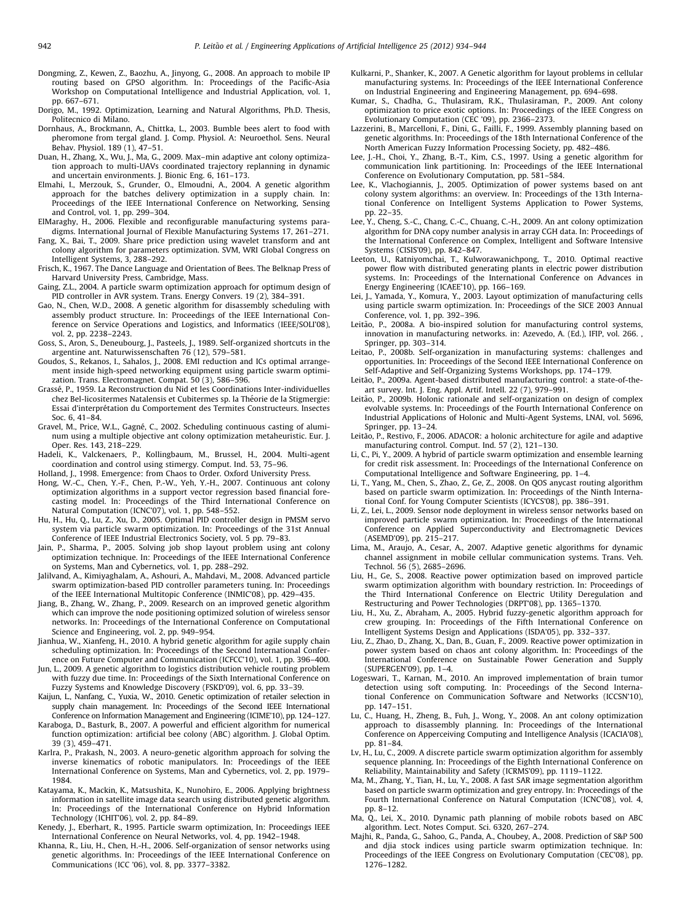- <span id="page-8-0"></span>Dongming, Z., Kewen, Z., Baozhu, A., Jinyong, G., 2008. An approach to mobile IP routing based on GPSO algorithm. In: Proceedings of the Pacific-Asia Workshop on Computational Intelligence and Industrial Application, vol. 1, pp. 667–671.
- Dorigo, M., 1992. Optimization, Learning and Natural Algorithms, Ph.D. Thesis, Politecnico di Milano.
- Dornhaus, A., Brockmann, A., Chittka, L., 2003. Bumble bees alert to food with pheromone from tergal gland. J. Comp. Physiol. A: Neuroethol. Sens. Neural Behav. Physiol. 189 (1), 47–51.
- Duan, H., Zhang, X., Wu, J., Ma, G., 2009. Max–min adaptive ant colony optimization approach to multi-UAVs coordinated trajectory replanning in dynamic and uncertain environments. J. Bionic Eng. 6, 161–173.
- Elmahi, I., Merzouk, S., Grunder, O., Elmoudni, A., 2004. A genetic algorithm approach for the batches delivery optimization in a supply chain. In: Proceedings of the IEEE International Conference on Networking, Sensing and Control, vol. 1, pp. 299–304.
- ElMaraghy, H., 2006. Flexible and reconfigurable manufacturing systems paradigms. International Journal of Flexible Manufacturing Systems 17, 261–271.
- Fang, X., Bai, T., 2009. Share price prediction using wavelet transform and ant colony algorithm for parameters optimization. SVM, WRI Global Congress on Intelligent Systems, 3, 288–292.
- Frisch, K., 1967. The Dance Language and Orientation of Bees. The Belknap Press of Harvard University Press, Cambridge, Mass.
- Gaing, Z.L., 2004. A particle swarm optimization approach for optimum design of PID controller in AVR system. Trans. Energy Convers. 19 (2), 384–391.
- Gao, N., Chen, W.D., 2008. A genetic algorithm for disassembly scheduling with assembly product structure. In: Proceedings of the IEEE International Conference on Service Operations and Logistics, and Informatics (IEEE/SOLI'08), vol. 2, pp. 2238–2243.
- Goss, S., Aron, S., Deneubourg, J., Pasteels, J., 1989. Self-organized shortcuts in the argentine ant. Naturwissenschaften 76 (12), 579–581.
- Goudos, S., Rekanos, I., Sahalos, J., 2008. EMI reduction and ICs optimal arrangement inside high-speed networking equipment using particle swarm optimization. Trans. Electromagnet. Compat. 50 (3), 586–596.
- Grassé, P., 1959. La Reconstruction du Nid et les Coordinations Inter-individuelles chez Bel-licositermes Natalensis et Cubitermes sp. la Théorie de la Stigmergie: Essai d'interprétation du Comportement des Termites Constructeurs. Insectes Soc. 6, 41–84.
- Gravel, M., Price, W.L., Gagné, C., 2002. Scheduling continuous casting of aluminum using a multiple objective ant colony optimization metaheuristic. Eur. J. Oper. Res. 143, 218–229.
- Hadeli, K., Valckenaers, P., Kollingbaum, M., Brussel, H., 2004. Multi-agent coordination and control using stimergy. Comput. Ind. 53, 75–96.
- Holland, J., 1998. Emergence: from Chaos to Order. Oxford University Press.
- Hong, W.-C., Chen, Y.-F., Chen, P.-W., Yeh, Y.-H., 2007. Continuous ant colony optimization algorithms in a support vector regression based financial forecasting model. In: Proceedings of the Third International Conference on Natural Computation (ICNC'07), vol. 1, pp. 548–552.
- Hu, H., Hu, Q., Lu, Z., Xu, D., 2005. Optimal PID controller design in PMSM servo system via particle swarm optimization. In: Proceedings of the 31st Annual Conference of IEEE Industrial Electronics Society, vol. 5 pp. 79–83.
- Jain, P., Sharma, P., 2005. Solving job shop layout problem using ant colony optimization technique. In: Proceedings of the IEEE International Conference on Systems, Man and Cybernetics, vol. 1, pp. 288–292.
- Jalilvand, A., Kimiyaghalam, A., Ashouri, A., Mahdavi, M., 2008. Advanced particle swarm optimization-based PID controller parameters tuning. In: Proceedings of the IEEE International Multitopic Conference (INMIC'08), pp. 429–435.
- Jiang, B., Zhang, W., Zhang, P., 2009. Research on an improved genetic algorithm which can improve the node positioning optimized solution of wireless sensor networks. In: Proceedings of the International Conference on Computational Science and Engineering, vol. 2, pp. 949–954.
- Jianhua, W., Xianfeng, H., 2010. A hybrid genetic algorithm for agile supply chain scheduling optimization. In: Proceedings of the Second International Conference on Future Computer and Communication (ICFCC'10), vol. 1, pp. 396–400.
- Jun, L., 2009. A genetic algorithm to logistics distribution vehicle routing problem with fuzzy due time. In: Proceedings of the Sixth International Conference on Fuzzy Systems and Knowledge Discovery (FSKD'09), vol. 6, pp. 33–39.
- Kaijun, L., Nanfang, C., Yuxia, W., 2010. Genetic optimization of retailer selection in supply chain management. In: Proceedings of the Second IEEE International Conference on Information Management and Engineering (ICIME'10), pp. 124–127.
- Karaboga, D., Basturk, B., 2007. A powerful and efficient algorithm for numerical function optimization: artificial bee colony (ABC) algorithm. J. Global Optim. 39 (3), 459–471.
- Karlra, P., Prakash, N., 2003. A neuro-genetic algorithm approach for solving the inverse kinematics of robotic manipulators. In: Proceedings of the IEEE International Conference on Systems, Man and Cybernetics, vol. 2, pp. 1979– 1984.
- Katayama, K., Mackin, K., Matsushita, K., Nunohiro, E., 2006. Applying brightness information in satellite image data search using distributed genetic algorithm. In: Proceedings of the International Conference on Hybrid Information Technology (ICHIT'06), vol. 2, pp. 84–89.
- Kenedy, J., Eberhart, R., 1995. Particle swarm optimization, In: Proceedings IEEE International Conference on Neural Networks, vol. 4, pp. 1942–1948.
- Khanna, R., Liu, H., Chen, H.-H., 2006. Self-organization of sensor networks using genetic algorithms. In: Proceedings of the IEEE International Conference on Communications (ICC '06), vol. 8, pp. 3377–3382.
- Kulkarni, P., Shanker, K., 2007. A Genetic algorithm for layout problems in cellular manufacturing systems. In: Proceedings of the IEEE International Conference on Industrial Engineering and Engineering Management, pp. 694–698.
- Kumar, S., Chadha, G., Thulasiram, R.K., Thulasiraman, P., 2009. Ant colony optimization to price exotic options. In: Proceedings of the IEEE Congress on Evolutionary Computation (CEC '09), pp. 2366–2373.
- Lazzerini, B., Marcelloni, F., Dini, G., Failli, F., 1999. Assembly planning based on genetic algorithms. In: Proceedings of the 18th International Conference of the North American Fuzzy Information Processing Society, pp. 482–486.
- Lee, J.-H., Choi, Y., Zhang, B.-T., Kim, C.S., 1997. Using a genetic algorithm for communication link partitioning. In: Proceedings of the IEEE International Conference on Evolutionary Computation, pp. 581–584.
- Lee, K., Vlachogiannis, J., 2005. Optimization of power systems based on ant colony system algorithms: an overview. In: Proceedings of the 13th International Conference on Intelligent Systems Application to Power Systems, pp. 22–35.
- Lee, Y., Cheng, S.-C., Chang, C.-C., Chuang, C.-H., 2009. An ant colony optimization algorithm for DNA copy number analysis in array CGH data. In: Proceedings of the International Conference on Complex, Intelligent and Software Intensive
- Systems (CISIS'09), pp. 842–847. Leeton, U., Ratniyomchai, T., Kulworawanichpong, T., 2010. Optimal reactive power flow with distributed generating plants in electric power distribution systems. In: Proceedings of the International Conference on Advances in Energy Engineering (ICAEE'10), pp. 166–169.
- Lei, J., Yamada, Y., Komura, Y., 2003. Layout optimization of manufacturing cells using particle swarm optimization. In: Proceedings of the SICE 2003 Annual Conference, vol. 1, pp. 392–396.
- Leitão, P., 2008a. A bio-inspired solution for manufacturing control systems, innovation in manufacturing networks. in: Azevedo, A. (Ed.), IFIP, vol. 266. , Springer, pp. 303–314.
- Leitao, P., 2008b. Self-organization in manufacturing systems: challenges and opportunities. In: Proceedings of the Second IEEE International Conference on Self-Adaptive and Self-Organizing Systems Workshops, pp. 174–179.
- Leitão, P., 2009a. Agent-based distributed manufacturing control: a state-of-theart survey. Int. J. Eng. Appl. Artif. Intell. 22 (7), 979–991.
- Leitão, P., 2009b. Holonic rationale and self-organization on design of complex evolvable systems. In: Proceedings of the Fourth International Conference on Industrial Applications of Holonic and Multi-Agent Systems, LNAI, vol. 5696, Springer, pp. 13–24.
- Leitão, P., Restivo, F., 2006. ADACOR: a holonic architecture for agile and adaptive manufacturing control. Comput. Ind. 57 (2), 121–130.
- Li, C., Pi, Y., 2009. A hybrid of particle swarm optimization and ensemble learning for credit risk assessment. In: Proceedings of the International Conference on Computational Intelligence and Software Engineering, pp. 1–4.
- Li, T., Yang, M., Chen, S., Zhao, Z., Ge, Z., 2008. On QOS anycast routing algorithm based on particle swarm optimization. In: Proceedings of the Ninth International Conf. for Young Computer Scientists (ICYCS'08), pp. 386–391.
- Li, Z., Lei, L., 2009. Sensor node deployment in wireless sensor networks based on improved particle swarm optimization. In: Proceedings of the International Conference on Applied Superconductivity and Electromagnetic Devices (ASEMD'09), pp. 215–217.
- Lima, M., Araujo, A., Cesar, A., 2007. Adaptive genetic algorithms for dynamic channel assignment in mobile cellular communication systems. Trans. Veh. Technol. 56 (5), 2685–2696.
- Liu, H., Ge, S., 2008. Reactive power optimization based on improved particle swarm optimization algorithm with boundary restriction. In: Proceedings of the Third International Conference on Electric Utility Deregulation and Restructuring and Power Technologies (DRPT'08), pp. 1365–1370.
- Liu, H., Xu, Z., Abraham, A., 2005. Hybrid fuzzy-genetic algorithm approach for crew grouping. In: Proceedings of the Fifth International Conference on Intelligent Systems Design and Applications (ISDA'05), pp. 332–337.
- Liu, Z., Zhao, D., Zhang, X., Dan, B., Guan, F., 2009. Reactive power optimization in power system based on chaos ant colony algorithm. In: Proceedings of the International Conference on Sustainable Power Generation and Supply (SUPERGEN'09), pp. 1–4.
- Logeswari, T., Karnan, M., 2010. An improved implementation of brain tumor detection using soft computing. In: Proceedings of the Second International Conference on Communication Software and Networks (ICCSN'10), pp. 147–151.
- Lu, C., Huang, H., Zheng, B., Fuh, J., Wong, Y., 2008. An ant colony optimization approach to disassembly planning. In: Proceedings of the International Conference on Apperceiving Computing and Intelligence Analysis (ICACIA'08), pp. 81–84.
- Lv, H., Lu, C., 2009. A discrete particle swarm optimization algorithm for assembly sequence planning. In: Proceedings of the Eighth International Conference on Reliability, Maintainability and Safety (ICRMS'09), pp. 1119–1122.
- Ma, M., Zhang, Y., Tian, H., Lu, Y., 2008. A fast SAR image segmentation algorithm based on particle swarm optimization and grey entropy. In: Proceedings of the Fourth International Conference on Natural Computation (ICNC'08), vol. 4, pp. 8–12.
- Ma, Q., Lei, X., 2010. Dynamic path planning of mobile robots based on ABC algorithm. Lect. Notes Comput. Sci. 6320, 267–274.
- Majhi, R., Panda, G., Sahoo, G., Panda, A., Choubey, A., 2008. Prediction of S&P 500 and djia stock indices using particle swarm optimization technique. In: Proceedings of the IEEE Congress on Evolutionary Computation (CEC'08), pp. 1276–1282.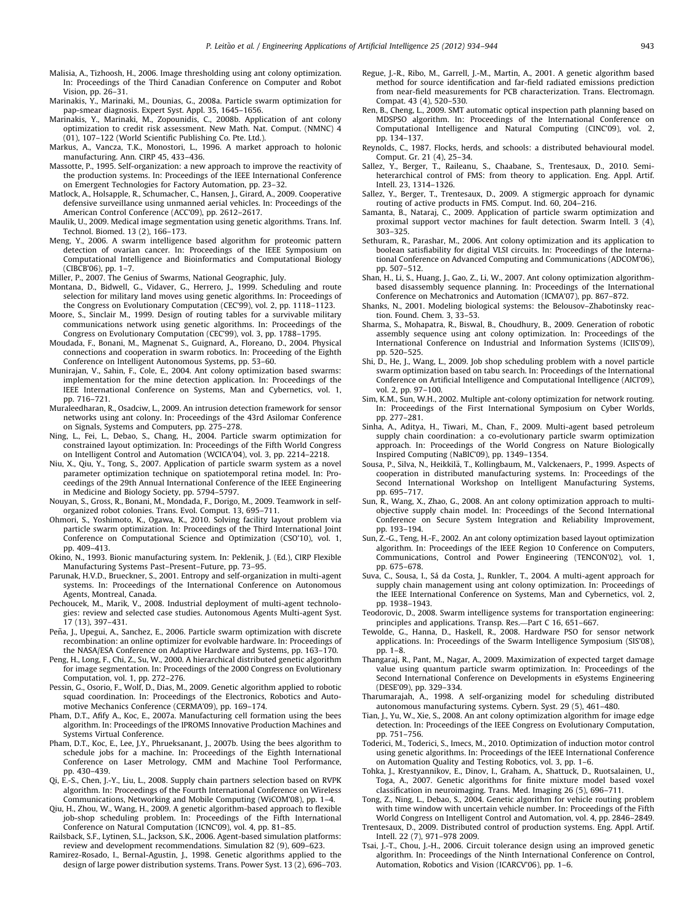- <span id="page-9-0"></span>Malisia, A., Tizhoosh, H., 2006. Image thresholding using ant colony optimization. In: Proceedings of the Third Canadian Conference on Computer and Robot Vision, pp. 26–31.
- Marinakis, Y., Marinaki, M., Dounias, G., 2008a. Particle swarm optimization for pap-smear diagnosis. Expert Syst. Appl. 35, 1645–1656.
- Marinakis, Y., Marinaki, M., Zopounidis, C., 2008b. Application of ant colony optimization to credit risk assessment. New Math. Nat. Comput. (NMNC) 4 (01), 107–122 (World Scientific Publishing Co. Pte. Ltd.).
- Markus, A., Vancza, T.K., Monostori, L., 1996. A market approach to holonic manufacturing. Ann. CIRP 45, 433–436.
- Massotte, P., 1995. Self-organization: a new approach to improve the reactivity of the production systems. In: Proceedings of the IEEE International Conference on Emergent Technologies for Factory Automation, pp. 23–32.
- Matlock, A., Holsapple, R., Schumacher, C., Hansen, J., Girard, A., 2009. Cooperative defensive surveillance using unmanned aerial vehicles. In: Proceedings of the American Control Conference (ACC'09), pp. 2612–2617.
- Maulik, U., 2009. Medical image segmentation using genetic algorithms. Trans. Inf. Technol. Biomed. 13 (2), 166–173.
- Meng, Y., 2006. A swarm intelligence based algorithm for proteomic pattern detection of ovarian cancer. In: Proceedings of the IEEE Symposium on Computational Intelligence and Bioinformatics and Computational Biology (CIBCB'06), pp. 1–7.
- 
- Miller, P., 2007. The Genius of Swarms, National Geographic, July. Montana, D., Bidwell, G., Vidaver, G., Herrero, J., 1999. Scheduling and route selection for military land moves using genetic algorithms. In: Proceedings of the Congress on Evolutionary Computation (CEC'99), vol. 2, pp. 1118–1123.
- Moore, S., Sinclair M., 1999. Design of routing tables for a survivable military communications network using genetic algorithms. In: Proceedings of the
- Congress on Evolutionary Computation (CEC'99), vol. 3, pp. 1788–1795. Moudada, F., Bonani, M., Magnenat S., Guignard, A., Floreano, D., 2004. Physical connections and cooperation in swarm robotics. In: Proceeding of the Eighth Conference on Intelligent Autonomous Systems, pp. 53–60.
- Munirajan, V., Sahin, F., Cole, E., 2004. Ant colony optimization based swarms: implementation for the mine detection application. In: Proceedings of the IEEE International Conference on Systems, Man and Cybernetics, vol. 1, pp. 716–721.
- Muraleedharan, R., Osadciw, L., 2009. An intrusion detection framework for sensor networks using ant colony. In: Proceedings of the 43rd Asilomar Conference on Signals, Systems and Computers, pp. 275–278.
- Ning, L., Fei, L., Debao, S., Chang, H., 2004. Particle swarm optimization for constrained layout optimization. In: Proceedings of the Fifth World Congress on Intelligent Control and Automation (WCICA'04), vol. 3, pp. 2214–2218.
- Niu, X., Qiu, Y., Tong, S., 2007. Application of particle swarm system as a novel parameter optimization technique on spatiotemporal retina model. In: Proceedings of the 29th Annual International Conference of the IEEE Engineering in Medicine and Biology Society, pp. 5794–5797.
- Nouyan, S., Gross, R., Bonani, M., Mondada, F., Dorigo, M., 2009. Teamwork in selforganized robot colonies. Trans. Evol. Comput. 13, 695–711.
- Ohmori, S., Yoshimoto, K., Ogawa, K., 2010. Solving facility layout problem via particle swarm optimization. In: Proceedings of the Third International Joint Conference on Computational Science and Optimization (CSO'10), vol. 1, pp. 409–413.
- Okino, N., 1993. Bionic manufacturing system. In: Peklenik, J. (Ed.), CIRP Flexible Manufacturing Systems Past–Present–Future, pp. 73–95.
- Parunak, H.V.D., Brueckner, S., 2001. Entropy and self-organization in multi-agent systems. In: Proceedings of the International Conference on Autonomous Agents, Montreal, Canada.
- Pechoucek, M., Marik, V., 2008. Industrial deployment of multi-agent technologies: review and selected case studies. Autonomous Agents Multi-agent Syst. 17 (13), 397–431.
- Peña, J., Upegui, A., Sanchez, E., 2006. Particle swarm optimization with discrete recombination: an online optimizer for evolvable hardware. In: Proceedings of the NASA/ESA Conference on Adaptive Hardware and Systems, pp. 163–170.
- Peng, H., Long, F., Chi, Z., Su, W., 2000. A hierarchical distributed genetic algorithm for image segmentation. In: Proceedings of the 2000 Congress on Evolutionary
- Computation, vol. 1, pp. 272–276. Pessin, G., Osorio, F., Wolf, D., Dias, M., 2009. Genetic algorithm applied to robotic squad coordination. In: Proceedings of the Electronics, Robotics and Automotive Mechanics Conference (CERMA'09), pp. 169–174.
- Pham, D.T., Afify A., Koc, E., 2007a. Manufacturing cell formation using the bees algorithm. In: Proceedings of the IPROMS Innovative Production Machines and Systems Virtual Conference.
- Pham, D.T., Koc, E., Lee, J.Y., Phrueksanant, J., 2007b. Using the bees algorithm to schedule jobs for a machine. In: Proceedings of the Eighth International Conference on Laser Metrology, CMM and Machine Tool Performance, pp. 430–439.
- Qi, E.-S., Chen, J.-Y., Liu, L., 2008. Supply chain partners selection based on RVPK algorithm. In: Proceedings of the Fourth International Conference on Wireless Communications, Networking and Mobile Computing (WiCOM'08), pp. 1–4.
- Qiu, H., Zhou, W., Wang, H., 2009. A genetic algorithm-based approach to flexible job-shop scheduling problem. In: Proceedings of the Fifth International Conference on Natural Computation (ICNC'09), vol. 4, pp. 81–85.
- Railsback, S.F., Lytinen, S.L., Jackson, S.K., 2006. Agent-based simulation platforms: review and development recommendations. Simulation 82 (9), 609–623.
- Ramirez-Rosado, I., Bernal-Agustin, J., 1998. Genetic algorithms applied to the design of large power distribution systems. Trans. Power Syst. 13 (2), 696–703.
- Regue, J.-R., Ribo, M., Garrell, J.-M., Martin, A., 2001. A genetic algorithm based method for source identification and far-field radiated emissions prediction from near-field measurements for PCB characterization. Trans. Electromagn. Compat. 43 (4), 520–530.
- Ren, B., Cheng, L., 2009. SMT automatic optical inspection path planning based on MDSPSO algorithm. In: Proceedings of the International Conference on Computational Intelligence and Natural Computing (CINC'09), vol. 2, pp. 134–137.
- Reynolds, C., 1987. Flocks, herds, and schools: a distributed behavioural model. Comput. Gr. 21 (4), 25–34.
- Sallez, Y., Berger, T., Raileanu, S., Chaabane, S., Trentesaux, D., 2010. Semiheterarchical control of FMS: from theory to application. Eng. Appl. Artif. Intell. 23, 1314–1326.
- Sallez, Y., Berger, T., Trentesaux, D., 2009. A stigmergic approach for dynamic routing of active products in FMS. Comput. Ind. 60, 204–216.
- Samanta, B., Nataraj, C., 2009. Application of particle swarm optimization and proximal support vector machines for fault detection. Swarm Intell. 3 (4), 303–325.
- Sethuram, R., Parashar, M., 2006. Ant colony optimization and its application to boolean satisfiability for digital VLSI circuits. In: Proceedings of the International Conference on Advanced Computing and Communications (ADCOM'06), pp. 507–512.
- Shan, H., Li, S., Huang, J., Gao, Z., Li, W., 2007. Ant colony optimization algorithmbased disassembly sequence planning. In: Proceedings of the International Conference on Mechatronics and Automation (ICMA'07), pp. 867–872.
- Shanks, N., 2001. Modeling biological systems: the Belousov–Zhabotinsky reaction. Found. Chem. 3, 33–53.
- Sharma, S., Mohapatra, R., Biswal, B., Choudhury, B., 2009. Generation of robotic assembly sequence using ant colony optimization. In: Proceedings of the International Conference on Industrial and Information Systems (ICIIS'09), pp. 520–525.
- Shi, D., He, J., Wang, L., 2009. Job shop scheduling problem with a novel particle swarm optimization based on tabu search. In: Proceedings of the International Conference on Artificial Intelligence and Computational Intelligence (AICI'09), vol. 2, pp. 97–100.
- Sim, K.M., Sun, W.H., 2002. Multiple ant-colony optimization for network routing. In: Proceedings of the First International Symposium on Cyber Worlds, pp. 277–281.
- Sinha, A., Aditya, H., Tiwari, M., Chan, F., 2009. Multi-agent based petroleum supply chain coordination: a co-evolutionary particle swarm optimization approach. In: Proceedings of the World Congress on Nature Biologically Inspired Computing (NaBIC'09), pp. 1349–1354.
- Sousa, P., Silva, N., Heikkila, T., Kollingbaum, M., Valckenaers, P., 1999. Aspects of ¨ cooperation in distributed manufacturing systems. In: Proceedings of the Second International Workshop on Intelligent Manufacturing Systems, pp. 695–717.
- Sun, R., Wang, X., Zhao, G., 2008. An ant colony optimization approach to multiobjective supply chain model. In: Proceedings of the Second International Conference on Secure System Integration and Reliability Improvement, pp. 193–194.
- Sun, Z.-G., Teng, H.-F., 2002. An ant colony optimization based layout optimization algorithm. In: Proceedings of the IEEE Region 10 Conference on Computers, Communications, Control and Power Engineering (TENCON'02), vol. 1, pp. 675–678.
- Suva, C., Sousa, I., Sá da Costa, J., Runkler, T., 2004. A multi-agent approach for supply chain management using ant colony optimization. In: Proceedings of the IEEE International Conference on Systems, Man and Cybernetics, vol. 2, pp. 1938–1943.
- Teodorovic, D., 2008. Swarm intelligence systems for transportation engineering:
- principles and applications. Transp. Res.—Part C 16, 651–667. Tewolde, G., Hanna, D., Haskell, R., 2008. Hardware PSO for sensor network applications. In: Proceedings of the Swarm Intelligence Symposium (SIS'08), pp. 1–8.
- Thangaraj, R., Pant, M., Nagar, A., 2009. Maximization of expected target damage value using quantum particle swarm optimization. In: Proceedings of the Second International Conference on Developments in eSystems Engineering (DESE'09), pp. 329–334.
- Tharumarajah, A., 1998. A self-organizing model for scheduling distributed autonomous manufacturing systems. Cybern. Syst. 29 (5), 461–480.
- Tian, J., Yu, W., Xie, S., 2008. An ant colony optimization algorithm for image edge detection. In: Proceedings of the IEEE Congress on Evolutionary Computation, pp. 751–756.
- Toderici, M., Toderici, S., Imecs, M., 2010. Optimization of induction motor control using genetic algorithms. In: Proceedings of the IEEE International Conference on Automation Quality and Testing Robotics, vol. 3, pp. 1–6.
- Tohka, J., Krestyannikov, E., Dinov, I., Graham, A., Shattuck, D., Ruotsalainen, U., Toga, A., 2007. Genetic algorithms for finite mixture model based voxel classification in neuroimaging. Trans. Med. Imaging 26 (5), 696–711.
- Tong, Z., Ning, L., Debao, S., 2004. Genetic algorithm for vehicle routing problem with time window with uncertain vehicle number. In: Proceedings of the Fifth World Congress on Intelligent Control and Automation, vol. 4, pp. 2846–2849.
- Trentesaux, D., 2009. Distributed control of production systems. Eng. Appl. Artif. Intell. 22 (7), 971–978 2009.
- Tsai, J.-T., Chou, J.-H., 2006. Circuit tolerance design using an improved genetic algorithm. In: Proceedings of the Ninth International Conference on Control, Automation, Robotics and Vision (ICARCV'06), pp. 1–6.